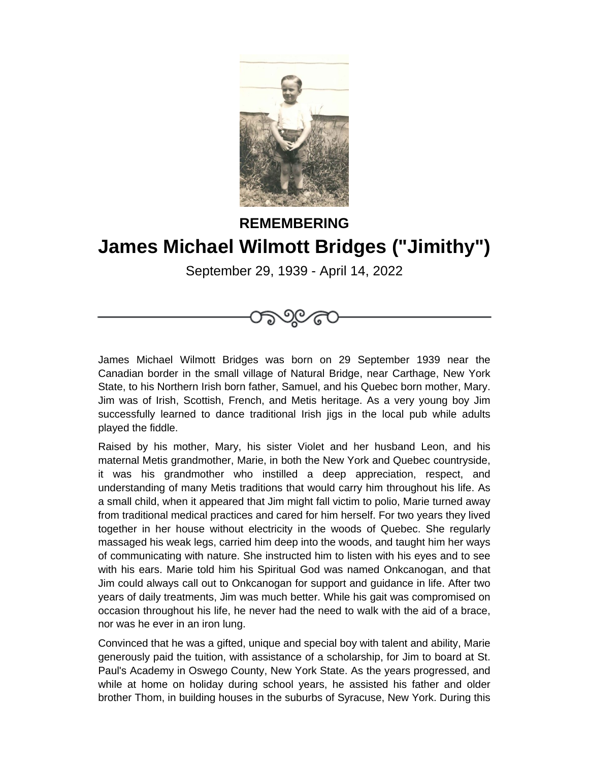

## **REMEMBERING James Michael Wilmott Bridges ("Jimithy")**

September 29, 1939 - April 14, 2022



James Michael Wilmott Bridges was born on 29 September 1939 near the Canadian border in the small village of Natural Bridge, near Carthage, New York State, to his Northern Irish born father, Samuel, and his Quebec born mother, Mary. Jim was of Irish, Scottish, French, and Metis heritage. As a very young boy Jim successfully learned to dance traditional Irish jigs in the local pub while adults played the fiddle.

Raised by his mother, Mary, his sister Violet and her husband Leon, and his maternal Metis grandmother, Marie, in both the New York and Quebec countryside, it was his grandmother who instilled a deep appreciation, respect, and understanding of many Metis traditions that would carry him throughout his life. As a small child, when it appeared that Jim might fall victim to polio, Marie turned away from traditional medical practices and cared for him herself. For two years they lived together in her house without electricity in the woods of Quebec. She regularly massaged his weak legs, carried him deep into the woods, and taught him her ways of communicating with nature. She instructed him to listen with his eyes and to see with his ears. Marie told him his Spiritual God was named Onkcanogan, and that Jim could always call out to Onkcanogan for support and guidance in life. After two years of daily treatments, Jim was much better. While his gait was compromised on occasion throughout his life, he never had the need to walk with the aid of a brace, nor was he ever in an iron lung.

Convinced that he was a gifted, unique and special boy with talent and ability, Marie generously paid the tuition, with assistance of a scholarship, for Jim to board at St. Paul's Academy in Oswego County, New York State. As the years progressed, and while at home on holiday during school years, he assisted his father and older brother Thom, in building houses in the suburbs of Syracuse, New York. During this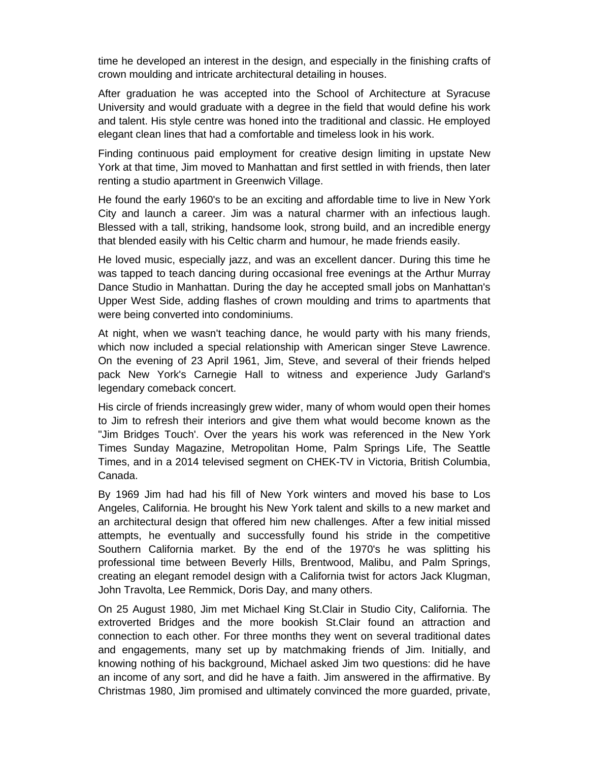time he developed an interest in the design, and especially in the finishing crafts of crown moulding and intricate architectural detailing in houses.

After graduation he was accepted into the School of Architecture at Syracuse University and would graduate with a degree in the field that would define his work and talent. His style centre was honed into the traditional and classic. He employed elegant clean lines that had a comfortable and timeless look in his work.

Finding continuous paid employment for creative design limiting in upstate New York at that time, Jim moved to Manhattan and first settled in with friends, then later renting a studio apartment in Greenwich Village.

He found the early 1960's to be an exciting and affordable time to live in New York City and launch a career. Jim was a natural charmer with an infectious laugh. Blessed with a tall, striking, handsome look, strong build, and an incredible energy that blended easily with his Celtic charm and humour, he made friends easily.

He loved music, especially jazz, and was an excellent dancer. During this time he was tapped to teach dancing during occasional free evenings at the Arthur Murray Dance Studio in Manhattan. During the day he accepted small jobs on Manhattan's Upper West Side, adding flashes of crown moulding and trims to apartments that were being converted into condominiums.

At night, when we wasn't teaching dance, he would party with his many friends, which now included a special relationship with American singer Steve Lawrence. On the evening of 23 April 1961, Jim, Steve, and several of their friends helped pack New York's Carnegie Hall to witness and experience Judy Garland's legendary comeback concert.

His circle of friends increasingly grew wider, many of whom would open their homes to Jim to refresh their interiors and give them what would become known as the "Jim Bridges Touch'. Over the years his work was referenced in the New York Times Sunday Magazine, Metropolitan Home, Palm Springs Life, The Seattle Times, and in a 2014 televised segment on CHEK-TV in Victoria, British Columbia, Canada.

By 1969 Jim had had his fill of New York winters and moved his base to Los Angeles, California. He brought his New York talent and skills to a new market and an architectural design that offered him new challenges. After a few initial missed attempts, he eventually and successfully found his stride in the competitive Southern California market. By the end of the 1970's he was splitting his professional time between Beverly Hills, Brentwood, Malibu, and Palm Springs, creating an elegant remodel design with a California twist for actors Jack Klugman, John Travolta, Lee Remmick, Doris Day, and many others.

On 25 August 1980, Jim met Michael King St.Clair in Studio City, California. The extroverted Bridges and the more bookish St.Clair found an attraction and connection to each other. For three months they went on several traditional dates and engagements, many set up by matchmaking friends of Jim. Initially, and knowing nothing of his background, Michael asked Jim two questions: did he have an income of any sort, and did he have a faith. Jim answered in the affirmative. By Christmas 1980, Jim promised and ultimately convinced the more guarded, private,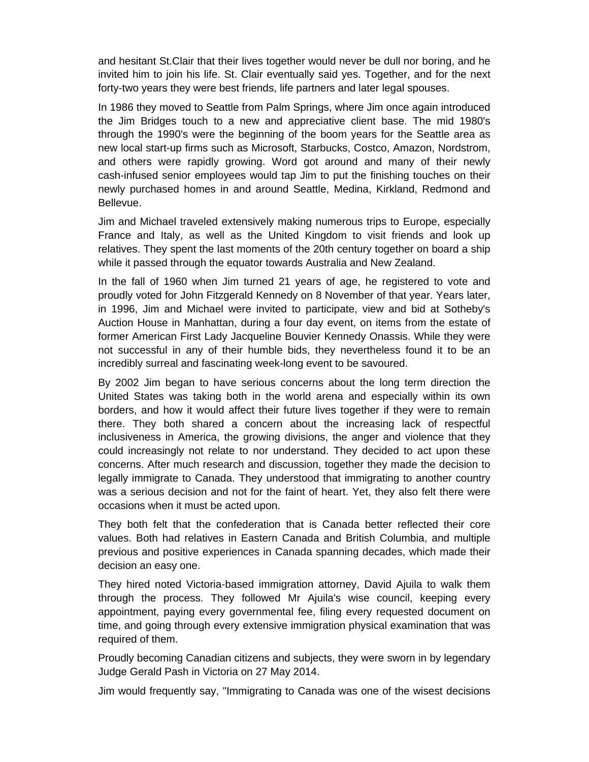and hesitant St.Clair that their lives together would never be dull nor boring, and he invited him to join his life. St. Clair eventually said yes. Together, and for the next forty-two years they were best friends, life partners and later legal spouses.

In 1986 they moved to Seattle from Palm Springs, where Jim once again introduced the Jim Bridges touch to a new and appreciative client base. The mid 1980's through the 1990's were the beginning of the boom years for the Seattle area as new local start-up firms such as Microsoft, Starbucks, Costco, Amazon, Nordstrom, and others were rapidly growing. Word got around and many of their newly cash-infused senior employees would tap Jim to put the finishing touches on their newly purchased homes in and around Seattle, Medina, Kirkland, Redmond and Bellevue.

Jim and Michael traveled extensively making numerous trips to Europe, especially France and Italy, as well as the United Kingdom to visit friends and look up relatives. They spent the last moments of the 20th century together on board a ship while it passed through the equator towards Australia and New Zealand.

In the fall of 1960 when Jim turned 21 years of age, he registered to vote and proudly voted for John Fitzgerald Kennedy on 8 November of that year. Years later, in 1996, Jim and Michael were invited to participate, view and bid at Sotheby's Auction House in Manhattan, during a four day event, on items from the estate of former American First Lady Jacqueline Bouvier Kennedy Onassis. While they were not successful in any of their humble bids, they nevertheless found it to be an incredibly surreal and fascinating week-long event to be savoured.

By 2002 Jim began to have serious concerns about the long term direction the United States was taking both in the world arena and especially within its own borders, and how it would affect their future lives together if they were to remain there. They both shared a concern about the increasing lack of respectful inclusiveness in America, the growing divisions, the anger and violence that they could increasingly not relate to nor understand. They decided to act upon these concerns. After much research and discussion, together they made the decision to legally immigrate to Canada. They understood that immigrating to another country was a serious decision and not for the faint of heart. Yet, they also felt there were occasions when it must be acted upon.

They both felt that the confederation that is Canada better reflected their core values. Both had relatives in Eastern Canada and British Columbia, and multiple previous and positive experiences in Canada spanning decades, which made their decision an easy one.

They hired noted Victoria-based immigration attorney, David Ajuila to walk them through the process. They followed Mr Ajuila's wise council, keeping every appointment, paying every governmental fee, filing every requested document on time, and going through every extensive immigration physical examination that was required of them.

Proudly becoming Canadian citizens and subjects, they were sworn in by legendary Judge Gerald Pash in Victoria on 27 May 2014.

Jim would frequently say, "Immigrating to Canada was one of the wisest decisions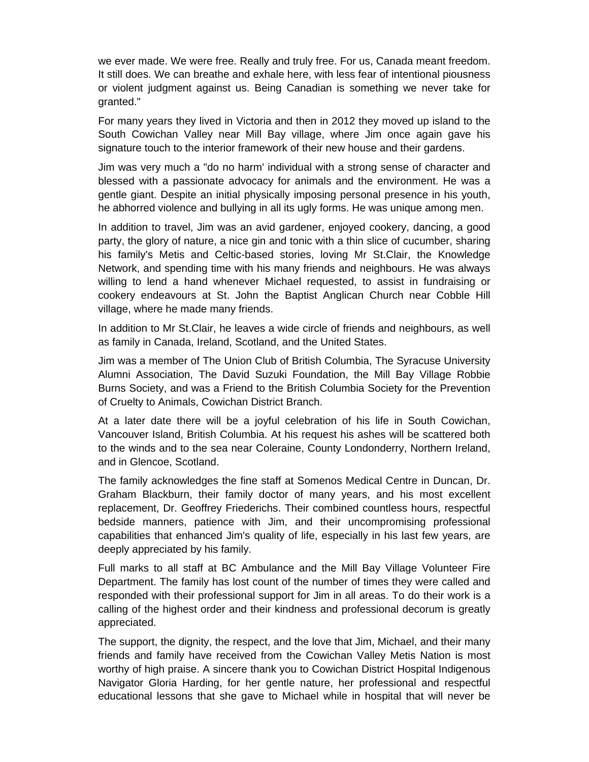we ever made. We were free. Really and truly free. For us, Canada meant freedom. It still does. We can breathe and exhale here, with less fear of intentional piousness or violent judgment against us. Being Canadian is something we never take for granted."

For many years they lived in Victoria and then in 2012 they moved up island to the South Cowichan Valley near Mill Bay village, where Jim once again gave his signature touch to the interior framework of their new house and their gardens.

Jim was very much a "do no harm' individual with a strong sense of character and blessed with a passionate advocacy for animals and the environment. He was a gentle giant. Despite an initial physically imposing personal presence in his youth, he abhorred violence and bullying in all its ugly forms. He was unique among men.

In addition to travel, Jim was an avid gardener, enjoyed cookery, dancing, a good party, the glory of nature, a nice gin and tonic with a thin slice of cucumber, sharing his family's Metis and Celtic-based stories, loving Mr St.Clair, the Knowledge Network, and spending time with his many friends and neighbours. He was always willing to lend a hand whenever Michael requested, to assist in fundraising or cookery endeavours at St. John the Baptist Anglican Church near Cobble Hill village, where he made many friends.

In addition to Mr St.Clair, he leaves a wide circle of friends and neighbours, as well as family in Canada, Ireland, Scotland, and the United States.

Jim was a member of The Union Club of British Columbia, The Syracuse University Alumni Association, The David Suzuki Foundation, the Mill Bay Village Robbie Burns Society, and was a Friend to the British Columbia Society for the Prevention of Cruelty to Animals, Cowichan District Branch.

At a later date there will be a joyful celebration of his life in South Cowichan, Vancouver Island, British Columbia. At his request his ashes will be scattered both to the winds and to the sea near Coleraine, County Londonderry, Northern Ireland, and in Glencoe, Scotland.

The family acknowledges the fine staff at Somenos Medical Centre in Duncan, Dr. Graham Blackburn, their family doctor of many years, and his most excellent replacement, Dr. Geoffrey Friederichs. Their combined countless hours, respectful bedside manners, patience with Jim, and their uncompromising professional capabilities that enhanced Jim's quality of life, especially in his last few years, are deeply appreciated by his family.

Full marks to all staff at BC Ambulance and the Mill Bay Village Volunteer Fire Department. The family has lost count of the number of times they were called and responded with their professional support for Jim in all areas. To do their work is a calling of the highest order and their kindness and professional decorum is greatly appreciated.

The support, the dignity, the respect, and the love that Jim, Michael, and their many friends and family have received from the Cowichan Valley Metis Nation is most worthy of high praise. A sincere thank you to Cowichan District Hospital Indigenous Navigator Gloria Harding, for her gentle nature, her professional and respectful educational lessons that she gave to Michael while in hospital that will never be